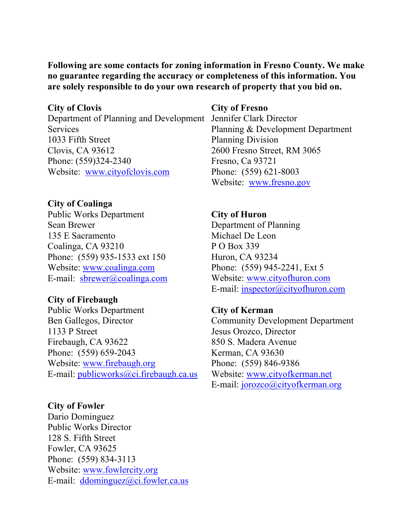# **Following are some contacts for zoning information in Fresno County. We make no guarantee regarding the accuracy or completeness of this information. You are solely responsible to do your own research of property that you bid on.**

### **City of Clovis**

Department of Planning and Development Jennifer Clark Director **Services** 1033 Fifth Street Clovis, CA 93612 Phone: (559)324-2340 Website: www.cityofclovis.com

# **City of Coalinga**

Public Works Department Sean Brewer 135 E Sacramento Coalinga, CA 93210 Phone: (559) 935-1533 ext 150 Website: [www.coalinga.com](http://www.coalinga.com/) E-mail:  $sbrewer@coalinga.com$ 

# **City of Firebaugh**

Public Works Department Ben Gallegos, Director 1133 P Street Firebaugh, CA 93622 Phone: (559) 659-2043 Website: [www.firebaugh.org](http://www.firebaugh.org/) E-mail: publicworks@ci.firebaugh.ca.us

# **City of Fowler**

Dario Dominguez Public Works Director 128 S. Fifth Street Fowler, CA 93625 Phone: (559) 834-3113 Website: [www.fowlercity.org](http://www.fowlercity.org/) E-mail: [ddominguez@ci.fowler.ca.us](mailto:ddominguez@ci.fowler.ca.us)

#### **City of Fresno**

Planning & Development Department Planning Division 2600 Fresno Street, RM 3065 Fresno, Ca 93721 Phone: (559) 621-8003 Website: [www.fresno.gov](http://www.fresno.gov/)

# **City of Huron**

Department of Planning Michael De Leon P O Box 339 Huron, CA 93234 Phone: (559) 945-2241, Ext 5 Website: [www.cityofhuron.com](http://www.cityofhuron.com/) E-mail: [inspector@cityofhuron.com](mailto:inspector@cityofhuron.com)

# **City of Kerman**

Community Development Department Jesus Orozco, Director 850 S. Madera Avenue Kerman, CA 93630 Phone: (559) 846-9386 Website: [www.cityofkerman.net](http://www.cityofkerman.net/) E-mail: [jorozco@cityofkerman.org](mailto:jorozco@cityofkerman.org)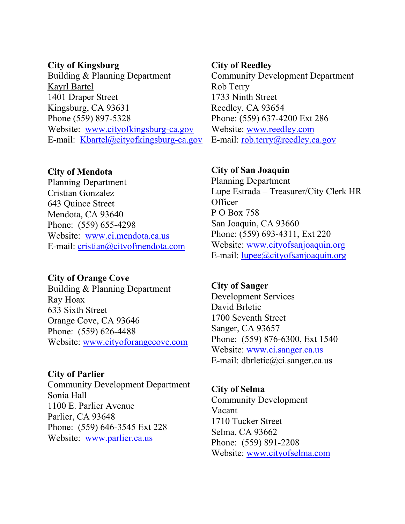### **City of Kingsburg**

Building & Planning Department Kayrl Bartel 1401 Draper Street Kingsburg, CA 93631 Phone (559) 897-5328 Website: [www.cityofkingsburg-ca.gov](http://www.cityofkingsburg-ca.gov/) E-mail: Kbartel@cityofkingsburg-ca.gov

# **City of Mendota**

Planning Department Cristian Gonzalez 643 Quince Street Mendota, CA 93640 Phone: (559) 655-4298 Website: [www.ci.mendota.ca.us](http://www.ci.mendota.ca.us/) E-mail: [cristian@cityofmendota.com](mailto:cristian@cityofmendota.com)

# **City of Orange Cove**

Building & Planning Department Ray Hoax 633 Sixth Street Orange Cove, CA 93646 Phone: (559) 626-4488 Website: [www.cityoforangecove.com](http://www.cityoforangecove.com/)

# **City of Parlier**

Community Development Department Sonia Hall 1100 E. Parlier Avenue Parlier, CA 93648 Phone: (559) 646-3545 Ext 228 Website: [www.parlier.ca.us](http://www.parlier.ca.us/)

#### **City of Reedley**

Community Development Department Rob Terry 1733 Ninth Street Reedley, CA 93654 Phone: (559) 637-4200 Ext 286 Website: [www.reedley.com](http://www.reedley.com/) E-mail: [rob.terry@reedley.ca.gov](mailto:rob.terry@reedley.ca.gov)

### **City of San Joaquin**

Planning Department Lupe Estrada – Treasurer/City Clerk HR **Officer** P O Box 758 San Joaquin, CA 93660 Phone: (559) 693-4311, Ext 220 Website: [www.cityofsanjoaquin.org](http://www.cityofsanjoaquin.org/) E-mail: [lupee@cityofsanjoaquin.org](mailto:lupee@cityofsanjoaquin.org)

# **City of Sanger** Development Services David Brletic 1700 Seventh Street Sanger, CA 93657 Phone: (559) 876-6300, Ext 1540 Website: [www.ci.sanger.ca.us](http://www.ci.sanger.ca.us/) E-mail: dbrletic@ci.sanger.ca.us

# **City of Selma**

Community Development Vacant 1710 Tucker Street Selma, CA 93662 Phone: (559) 891-2208 Website: [www.cityofselma.com](http://www.cityofselma.com/)